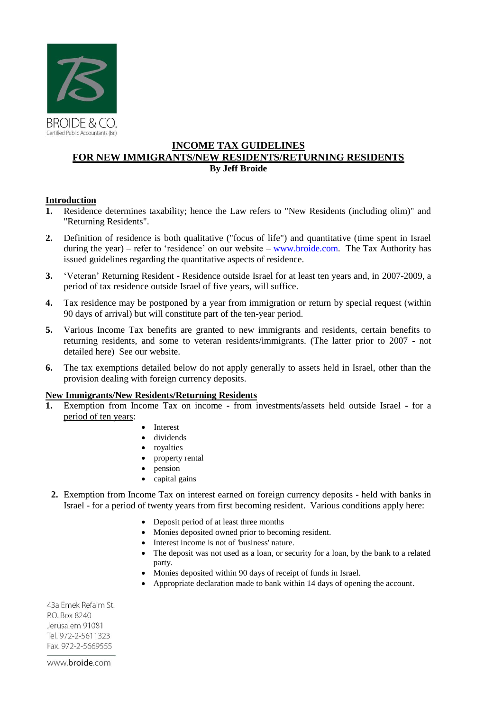

# **INCOME TAX GUIDELINES FOR NEW IMMIGRANTS/NEW RESIDENTS/RETURNING RESIDENTS By Jeff Broide**

# **Introduction**

- **1.** Residence determines taxability; hence the Law refers to "New Residents (including olim)" and "Returning Residents".
- **2.** Definition of residence is both qualitative ("focus of life") and quantitative (time spent in Israel during the year) – refer to 'residence' on our website – [www.broide.com.](http://www.broide.com/) The Tax Authority has issued guidelines regarding the quantitative aspects of residence.
- **3.** 'Veteran' Returning Resident Residence outside Israel for at least ten years and, in 2007-2009, a period of tax residence outside Israel of five years, will suffice.
- **4.** Tax residence may be postponed by a year from immigration or return by special request (within 90 days of arrival) but will constitute part of the ten-year period.
- **5.** Various Income Tax benefits are granted to new immigrants and residents, certain benefits to returning residents, and some to veteran residents/immigrants. (The latter prior to 2007 - not detailed here) See our website.
- **6.** The tax exemptions detailed below do not apply generally to assets held in Israel, other than the provision dealing with foreign currency deposits.

# **New Immigrants/New Residents/Returning Residents**

- **1.** Exemption from Income Tax on income from investments/assets held outside Israel for a period of ten years:
	- Interest
	- dividends
	- royalties
	- property rental
	- pension
	- capital gains
- **2.** Exemption from Income Tax on interest earned on foreign currency deposits held with banks in Israel - for a period of twenty years from first becoming resident. Various conditions apply here:
	- Deposit period of at least three months
	- Monies deposited owned prior to becoming resident.
	- Interest income is not of 'business' nature.
	- The deposit was not used as a loan, or security for a loan, by the bank to a related party.
	- Monies deposited within 90 days of receipt of funds in Israel.
	- Appropriate declaration made to bank within 14 days of opening the account.

43a Emek Refaim St. P.O. Box 8240 Jerusalem 91081 Tel. 972-2-5611323 Fax. 972-2-5669555

www.broide.com